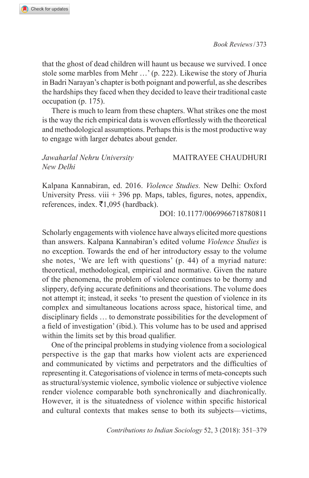*Book Reviews*/373

that the ghost of dead children will haunt us because we survived. I once stole some marbles from Mehr …' (p. 222). Likewise the story of Jhuria in Badri Narayan's chapter is both poignant and powerful, as she describes the hardships they faced when they decided to leave their traditional caste occupation (p. 175).

There is much to learn from these chapters. What strikes one the most is the way the rich empirical data is woven effortlessly with the theoretical and methodological assumptions. Perhaps this is the most productive way to engage with larger debates about gender.

## *Jawaharlal Nehru University* MAITRAYEE CHAUDHURI *New Delhi*

Kalpana Kannabiran, ed. 2016. *Violence Studies.* New Delhi: Oxford University Press. viii  $+396$  pp. Maps, tables, figures, notes, appendix, references, index.  $\bar{\mathbf{z}}$ 1,095 (hardback).

DOI: 10.1177/0069966718780811

Scholarly engagements with violence have always elicited more questions than answers. Kalpana Kannabiran's edited volume *Violence Studies* is no exception. Towards the end of her introductory essay to the volume she notes, 'We are left with questions' (p. 44) of a myriad nature: theoretical, methodological, empirical and normative. Given the nature of the phenomena, the problem of violence continues to be thorny and slippery, defying accurate definitions and theorisations. The volume does not attempt it; instead, it seeks 'to present the question of violence in its complex and simultaneous locations across space, historical time, and disciplinary fields … to demonstrate possibilities for the development of a field of investigation' (ibid.). This volume has to be used and apprised within the limits set by this broad qualifier.

One of the principal problems in studying violence from a sociological perspective is the gap that marks how violent acts are experienced and communicated by victims and perpetrators and the difficulties of representing it. Categorisations of violence in terms of meta-concepts such as structural/systemic violence, symbolic violence or subjective violence render violence comparable both synchronically and diachronically. However, it is the situatedness of violence within specific historical and cultural contexts that makes sense to both its subjects—victims,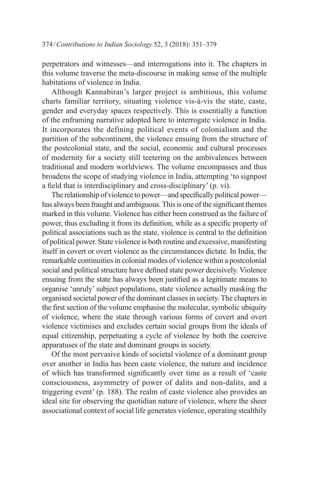perpetrators and witnesses—and interrogations into it. The chapters in this volume traverse the meta-discourse in making sense of the multiple habitations of violence in India.

Although Kannabiran's larger project is ambitious, this volume charts familiar territory, situating violence vis-à-vis the state, caste, gender and everyday spaces respectively. This is essentially a function of the enframing narrative adopted here to interrogate violence in India. It incorporates the defining political events of colonialism and the partition of the subcontinent, the violence ensuing from the structure of the postcolonial state, and the social, economic and cultural processes of modernity for a society still teetering on the ambivalences between traditional and modern worldviews. The volume encompasses and thus broadens the scope of studying violence in India, attempting 'to signpost a field that is interdisciplinary and cross-disciplinary' (p. vi).

The relationship of violence to power—and specifically political power has always been fraught and ambiguous. This is one of the significant themes marked in this volume. Violence has either been construed as the failure of power, thus excluding it from its definition, while as a specific property of political associations such as the state, violence is central to the definition of political power. State violence is both routine and excessive, manifesting itself in covert or overt violence as the circumstances dictate. In India, the remarkable continuities in colonial modes of violence within a postcolonial social and political structure have defined state power decisively. Violence ensuing from the state has always been justified as a legitimate means to organise 'unruly' subject populations, state violence actually masking the organised societal power of the dominant classes in society. The chapters in the first section of the volume emphasise the molecular, symbolic ubiquity of violence, where the state through various forms of covert and overt violence victimises and excludes certain social groups from the ideals of equal citizenship, perpetuating a cycle of violence by both the coercive apparatuses of the state and dominant groups in society.

Of the most pervasive kinds of societal violence of a dominant group over another in India has been caste violence, the nature and incidence of which has transformed significantly over time as a result of 'caste consciousness, asymmetry of power of dalits and non-dalits, and a triggering event' (p. 188). The realm of caste violence also provides an ideal site for observing the quotidian nature of violence, where the sheer associational context of social life generates violence, operating stealthily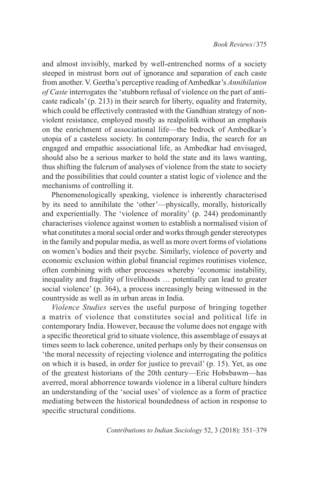and almost invisibly, marked by well-entrenched norms of a society steeped in mistrust born out of ignorance and separation of each caste from another. V. Geetha's perceptive reading of Ambedkar's *Annihilation of Caste* interrogates the 'stubborn refusal of violence on the part of anticaste radicals' (p. 213) in their search for liberty, equality and fraternity, which could be effectively contrasted with the Gandhian strategy of nonviolent resistance, employed mostly as realpolitik without an emphasis on the enrichment of associational life—the bedrock of Ambedkar's utopia of a casteless society. In contemporary India, the search for an engaged and empathic associational life, as Ambedkar had envisaged, should also be a serious marker to hold the state and its laws wanting, thus shifting the fulcrum of analyses of violence from the state to society and the possibilities that could counter a statist logic of violence and the mechanisms of controlling it.

Phenomenologically speaking, violence is inherently characterised by its need to annihilate the 'other'—physically, morally, historically and experientially. The 'violence of morality' (p. 244) predominantly characterises violence against women to establish a normalised vision of what constitutes a moral social order and works through gender stereotypes in the family and popular media, as well as more overt forms of violations on women's bodies and their psyche. Similarly, violence of poverty and economic exclusion within global financial regimes routinises violence, often combining with other processes whereby 'economic instability, inequality and fragility of livelihoods … potentially can lead to greater social violence' (p. 364), a process increasingly being witnessed in the countryside as well as in urban areas in India.

*Violence Studies* serves the useful purpose of bringing together a matrix of violence that constitutes social and political life in contemporary India. However, because the volume does not engage with a specific theoretical grid to situate violence, this assemblage of essays at times seem to lack coherence, united perhaps only by their consensus on 'the moral necessity of rejecting violence and interrogating the politics on which it is based, in order for justice to prevail' (p. 15). Yet, as one of the greatest historians of the 20th century—Eric Hobsbawm—has averred, moral abhorrence towards violence in a liberal culture hinders an understanding of the 'social uses' of violence as a form of practice mediating between the historical boundedness of action in response to specific structural conditions.